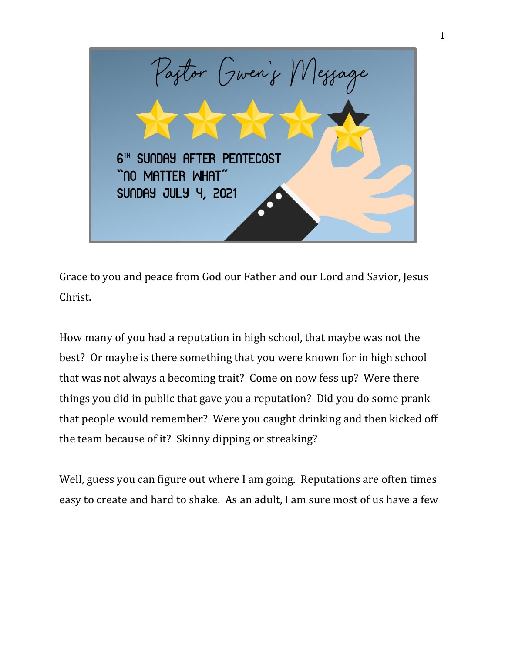

Grace to you and peace from God our Father and our Lord and Savior, Jesus Christ.

How many of you had a reputation in high school, that maybe was not the best? Or maybe is there something that you were known for in high school that was not always a becoming trait? Come on now fess up? Were there things you did in public that gave you a reputation? Did you do some prank that people would remember? Were you caught drinking and then kicked off the team because of it? Skinny dipping or streaking?

Well, guess you can figure out where I am going. Reputations are often times easy to create and hard to shake. As an adult, I am sure most of us have a few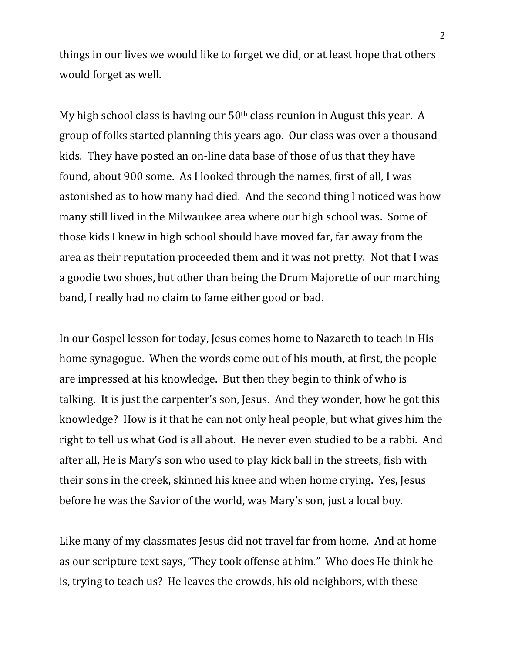things in our lives we would like to forget we did, or at least hope that others would forget as well.

My high school class is having our 50th class reunion in August this year. A group of folks started planning this years ago. Our class was over a thousand kids. They have posted an on-line data base of those of us that they have found, about 900 some. As I looked through the names, first of all, I was astonished as to how many had died. And the second thing I noticed was how many still lived in the Milwaukee area where our high school was. Some of those kids I knew in high school should have moved far, far away from the area as their reputation proceeded them and it was not pretty. Not that I was a goodie two shoes, but other than being the Drum Majorette of our marching band, I really had no claim to fame either good or bad.

In our Gospel lesson for today, Jesus comes home to Nazareth to teach in His home synagogue. When the words come out of his mouth, at first, the people are impressed at his knowledge. But then they begin to think of who is talking. It is just the carpenter's son, Jesus. And they wonder, how he got this knowledge? How is it that he can not only heal people, but what gives him the right to tell us what God is all about. He never even studied to be a rabbi. And after all, He is Mary's son who used to play kick ball in the streets, fish with their sons in the creek, skinned his knee and when home crying. Yes, Jesus before he was the Savior of the world, was Mary's son, just a local boy.

Like many of my classmates Jesus did not travel far from home. And at home as our scripture text says, "They took offense at him." Who does He think he is, trying to teach us? He leaves the crowds, his old neighbors, with these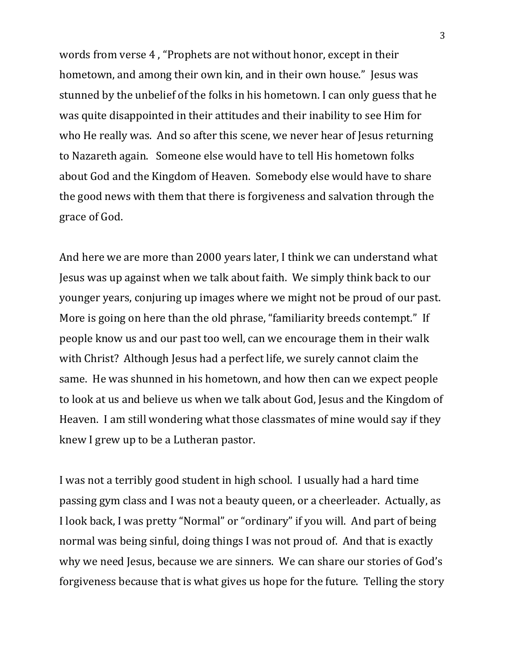words from verse 4 , "Prophets are not without honor, except in their hometown, and among their own kin, and in their own house." Jesus was stunned by the unbelief of the folks in his hometown. I can only guess that he was quite disappointed in their attitudes and their inability to see Him for who He really was. And so after this scene, we never hear of Jesus returning to Nazareth again. Someone else would have to tell His hometown folks about God and the Kingdom of Heaven. Somebody else would have to share the good news with them that there is forgiveness and salvation through the grace of God.

And here we are more than 2000 years later, I think we can understand what Jesus was up against when we talk about faith. We simply think back to our younger years, conjuring up images where we might not be proud of our past. More is going on here than the old phrase, "familiarity breeds contempt." If people know us and our past too well, can we encourage them in their walk with Christ? Although Jesus had a perfect life, we surely cannot claim the same. He was shunned in his hometown, and how then can we expect people to look at us and believe us when we talk about God, Jesus and the Kingdom of Heaven. I am still wondering what those classmates of mine would say if they knew I grew up to be a Lutheran pastor.

I was not a terribly good student in high school. I usually had a hard time passing gym class and I was not a beauty queen, or a cheerleader. Actually, as I look back, I was pretty "Normal" or "ordinary" if you will. And part of being normal was being sinful, doing things I was not proud of. And that is exactly why we need Jesus, because we are sinners. We can share our stories of God's forgiveness because that is what gives us hope for the future. Telling the story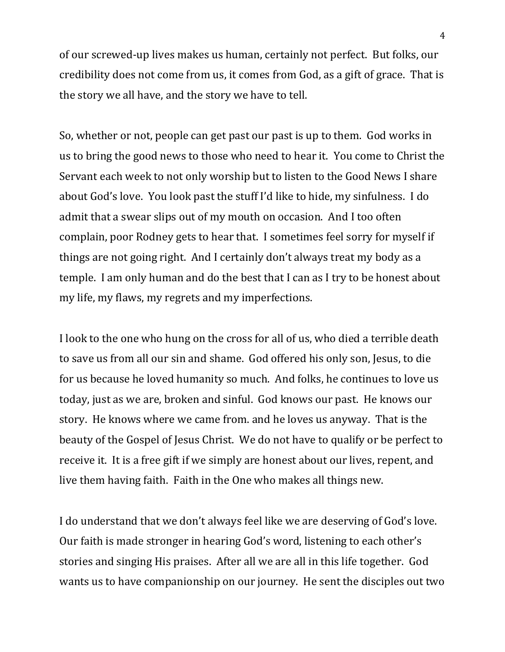of our screwed-up lives makes us human, certainly not perfect. But folks, our credibility does not come from us, it comes from God, as a gift of grace. That is the story we all have, and the story we have to tell.

So, whether or not, people can get past our past is up to them. God works in us to bring the good news to those who need to hear it. You come to Christ the Servant each week to not only worship but to listen to the Good News I share about God's love. You look past the stuff I'd like to hide, my sinfulness. I do admit that a swear slips out of my mouth on occasion. And I too often complain, poor Rodney gets to hear that. I sometimes feel sorry for myself if things are not going right. And I certainly don't always treat my body as a temple. I am only human and do the best that I can as I try to be honest about my life, my flaws, my regrets and my imperfections.

I look to the one who hung on the cross for all of us, who died a terrible death to save us from all our sin and shame. God offered his only son, Jesus, to die for us because he loved humanity so much. And folks, he continues to love us today, just as we are, broken and sinful. God knows our past. He knows our story. He knows where we came from. and he loves us anyway. That is the beauty of the Gospel of Jesus Christ. We do not have to qualify or be perfect to receive it. It is a free gift if we simply are honest about our lives, repent, and live them having faith. Faith in the One who makes all things new.

I do understand that we don't always feel like we are deserving of God's love. Our faith is made stronger in hearing God's word, listening to each other's stories and singing His praises. After all we are all in this life together. God wants us to have companionship on our journey. He sent the disciples out two